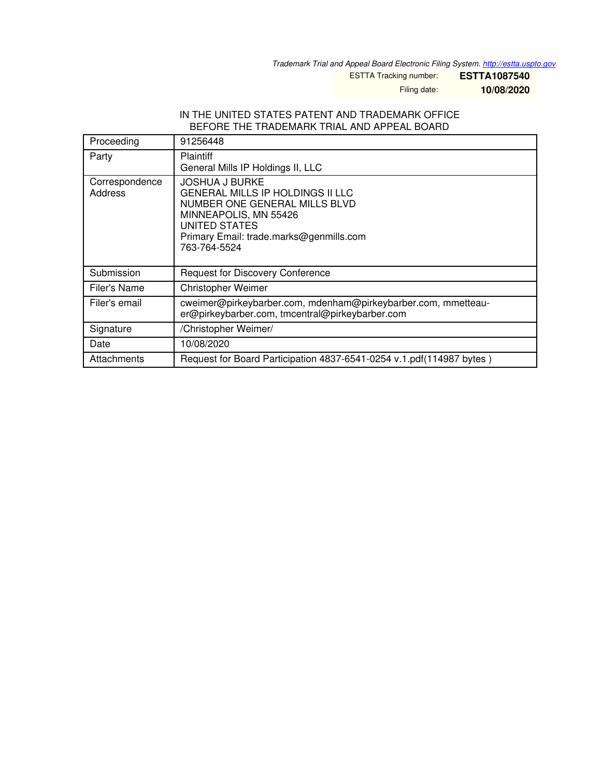*Trademark Trial and Appeal Board Electronic Filing System. <http://estta.uspto.gov>*

ESTTA Tracking number: **ESTTA1087540**

Filing date: **10/08/2020**

## IN THE UNITED STATES PATENT AND TRADEMARK OFFICE BEFORE THE TRADEMARK TRIAL AND APPEAL BOARD

| Proceeding                | 91256448                                                                                                                                                                                               |
|---------------------------|--------------------------------------------------------------------------------------------------------------------------------------------------------------------------------------------------------|
| Party                     | <b>Plaintiff</b><br>General Mills IP Holdings II, LLC                                                                                                                                                  |
| Correspondence<br>Address | <b>JOSHUA J BURKE</b><br><b>GENERAL MILLS IP HOLDINGS II LLC</b><br>NUMBER ONE GENERAL MILLS BLVD<br>MINNEAPOLIS, MN 55426<br>UNITED STATES<br>Primary Email: trade.marks@genmills.com<br>763-764-5524 |
| Submission                | <b>Request for Discovery Conference</b>                                                                                                                                                                |
| Filer's Name              | <b>Christopher Weimer</b>                                                                                                                                                                              |
| Filer's email             | cweimer@pirkeybarber.com, mdenham@pirkeybarber.com, mmetteau-<br>er@pirkeybarber.com, tmcentral@pirkeybarber.com                                                                                       |
| Signature                 | /Christopher Weimer/                                                                                                                                                                                   |
| Date                      | 10/08/2020                                                                                                                                                                                             |
| Attachments               | Request for Board Participation 4837-6541-0254 v.1.pdf(114987 bytes)                                                                                                                                   |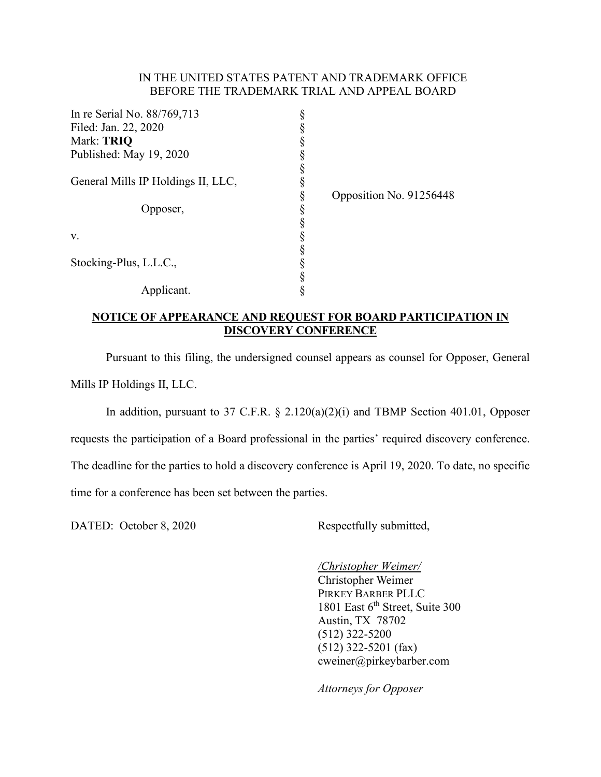## IN THE UNITED STATES PATENT AND TRADEMARK OFFICE BEFORE THE TRADEMARK TRIAL AND APPEAL BOARD

| In re Serial No. 88/769,713        |                         |
|------------------------------------|-------------------------|
| Filed: Jan. 22, 2020               |                         |
| Mark: TRIQ                         |                         |
| Published: May 19, 2020            |                         |
|                                    |                         |
| General Mills IP Holdings II, LLC, |                         |
|                                    | Opposition No. 91256448 |
| pposer,                            |                         |
|                                    |                         |
| V.                                 |                         |
|                                    |                         |
| Stocking-Plus, L.L.C.,             |                         |
|                                    |                         |
| Applicant.                         |                         |

## **NOTICE OF APPEARANCE AND REQUEST FOR BOARD PARTICIPATION IN DISCOVERY CONFERENCE**

Pursuant to this filing, the undersigned counsel appears as counsel for Opposer, General Mills IP Holdings II, LLC.

In addition, pursuant to 37 C.F.R. § 2.120(a)(2)(i) and TBMP Section 401.01, Opposer requests the participation of a Board professional in the parties' required discovery conference. The deadline for the parties to hold a discovery conference is April 19, 2020. To date, no specific time for a conference has been set between the parties.

DATED: October 8, 2020 Respectfully submitted,

*/Christopher Weimer/*  Christopher Weimer PIRKEY BARBER PLLC 1801 East 6<sup>th</sup> Street, Suite 300 Austin, TX 78702 (512) 322-5200 (512) 322-5201 (fax) cweiner@pirkeybarber.com

*Attorneys for Opposer*